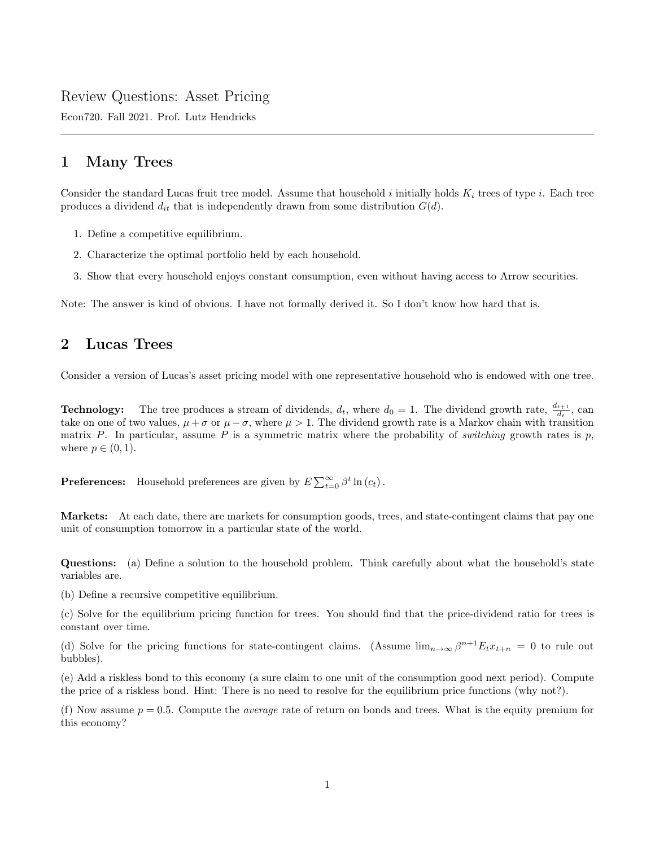## Review Questions: Asset Pricing

Econ720. Fall 2021. Prof. Lutz Hendricks

## 1 Many Trees

Consider the standard Lucas fruit tree model. Assume that household i initially holds  $K_i$  trees of type i. Each tree produces a dividend  $d_{it}$  that is independently drawn from some distribution  $G(d)$ .

- 1. Define a competitive equilibrium.
- 2. Characterize the optimal portfolio held by each household.
- 3. Show that every household enjoys constant consumption, even without having access to Arrow securities.

Note: The answer is kind of obvious. I have not formally derived it. So I don't know how hard that is.

## 2 Lucas Trees

Consider a version of Lucas's asset pricing model with one representative household who is endowed with one tree.

**Technology:** The tree produces a stream of dividends,  $d_t$ , where  $d_0 = 1$ . The dividend growth rate,  $\frac{d_{t+1}}{d_t}$ , can take on one of two values,  $\mu + \sigma$  or  $\mu - \sigma$ , where  $\mu > 1$ . The dividend growth rate is a Markov chain with transition matrix P. In particular, assume P is a symmetric matrix where the probability of *switching* growth rates is  $p$ , where  $p \in (0,1)$ .

**Preferences:** Household preferences are given by  $E \sum_{t=0}^{\infty} \beta^t \ln(c_t)$ .

Markets: At each date, there are markets for consumption goods, trees, and state-contingent claims that pay one unit of consumption tomorrow in a particular state of the world.

Questions: (a) Define a solution to the household problem. Think carefully about what the household's state variables are.

(b) Define a recursive competitive equilibrium.

(c) Solve for the equilibrium pricing function for trees. You should find that the price-dividend ratio for trees is constant over time.

(d) Solve for the pricing functions for state-contingent claims. (Assume  $\lim_{n\to\infty}\beta^{n+1}E_tx_{t+n} = 0$  to rule out bubbles).

(e) Add a riskless bond to this economy (a sure claim to one unit of the consumption good next period). Compute the price of a riskless bond. Hint: There is no need to resolve for the equilibrium price functions (why not?).

(f) Now assume  $p = 0.5$ . Compute the *average* rate of return on bonds and trees. What is the equity premium for this economy?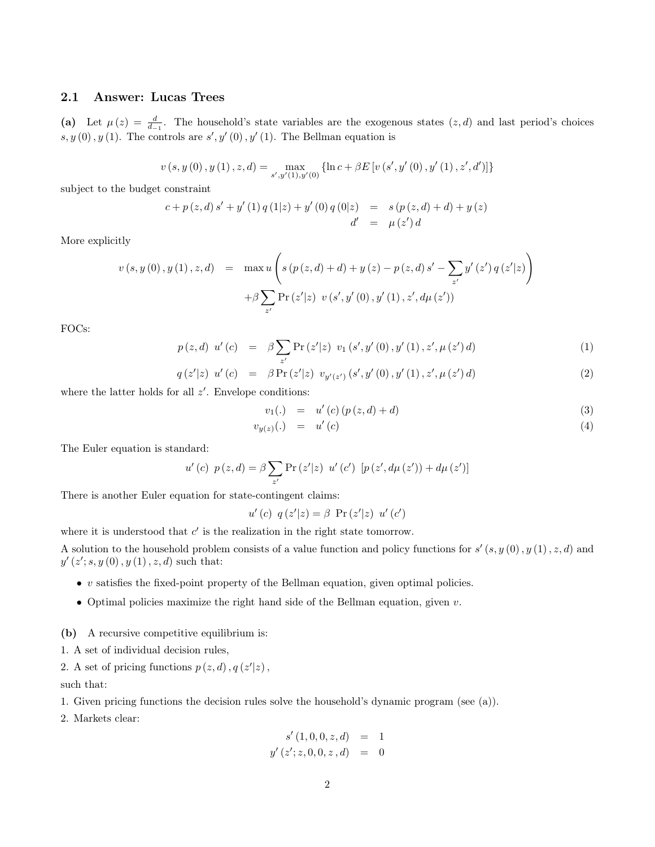## 2.1 Answer: Lucas Trees

(a) Let  $\mu(z) = \frac{d}{dz-1}$ . The household's state variables are the exogenous states  $(z, d)$  and last period's choices  $s, y(0), y(1)$ . The controls are  $s', y'(0), y'(1)$ . The Bellman equation is

$$
v\left(s,y\left(0\right),y\left(1\right),z,d\right)=\max_{s^{\prime},y^{\prime}\left(1\right),y^{\prime}\left(0\right)}\left\{ \ln c+\beta E\left[v\left(s^{\prime},y^{\prime}\left(0\right),y^{\prime}\left(1\right),z^{\prime},d^{\prime}\right)\right]\right\}
$$

subject to the budget constraint

$$
c + p(z, d) s' + y'(1) q(1|z) + y'(0) q(0|z) = s (p(z, d) + d) + y(z)
$$
  

$$
d' = \mu(z') d
$$

More explicitly

$$
v(s, y(0), y(1), z, d) = \max_{z'} w\left(s\left(p(z, d) + d\right) + y(z) - p(z, d) s' - \sum_{z'} y'(z') q(z'|z)\right) + \beta \sum_{z'} \Pr(z'|z) v(s', y'(0), y'(1), z', d\mu(z'))
$$

FOCs:

$$
p(z,d) u'(c) = \beta \sum_{z'} \Pr(z'|z) v_1(s',y'(0),y'(1),z',\mu(z')d)
$$
 (1)

$$
q(z'|z) u'(c) = \beta \Pr(z'|z) v_{y'(z')} (s', y'(0), y'(1), z', \mu(z')) d)
$$
 (2)

where the latter holds for all  $z'$ . Envelope conditions:

$$
v_1(.) = u'(c) (p(z, d) + d)
$$
 (3)

$$
v_{y(z)}(.) = u'(c) \tag{4}
$$

The Euler equation is standard:

$$
u'(c) \ p(z,d) = \beta \sum_{z'} \Pr(z'|z) \ u'(c') \ [p(z', d\mu(z')) + d\mu(z')]
$$

There is another Euler equation for state-contingent claims:

 $u'(c) q(z'|z) = \beta \Pr(z'|z) u'(c')$ 

where it is understood that  $c'$  is the realization in the right state tomorrow.

A solution to the household problem consists of a value function and policy functions for  $s'(s, y(0), y(1), z, d)$  and  $y'(z'; s, y(0), y(1), z, d)$  such that:

- $\bullet$  v satisfies the fixed-point property of the Bellman equation, given optimal policies.
- Optimal policies maximize the right hand side of the Bellman equation, given  $v$ .

(b) A recursive competitive equilibrium is:

- 1. A set of individual decision rules,
- 2. A set of pricing functions  $p(z, d)$ ,  $q(z'|z)$ ,

such that:

1. Given pricing functions the decision rules solve the household's dynamic program (see (a)).

2. Markets clear:

$$
s'(1,0,0,z,d) = 1
$$
  

$$
y'(z';z,0,0,z,d) = 0
$$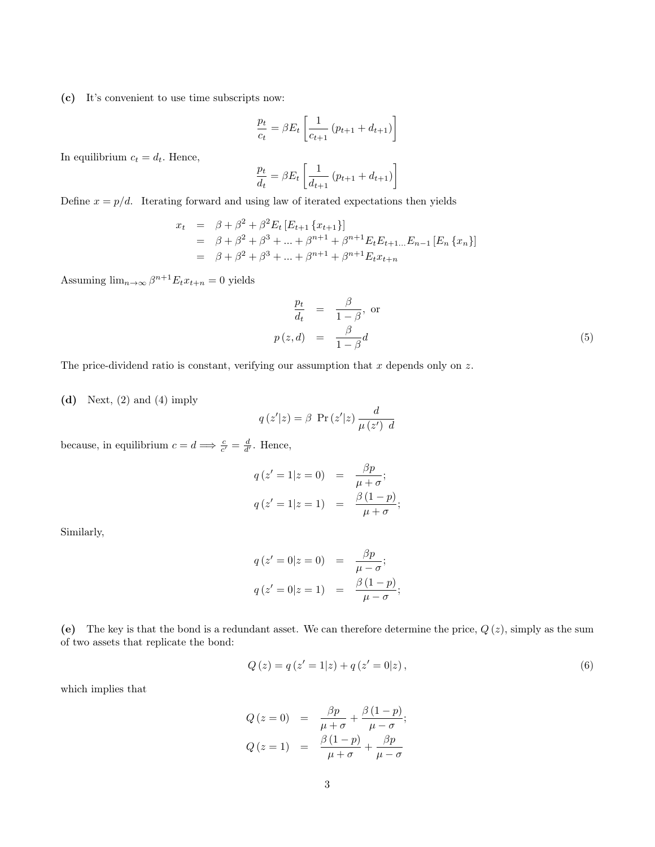(c) It's convenient to use time subscripts now:

$$
\frac{p_t}{c_t} = \beta E_t \left[ \frac{1}{c_{t+1}} (p_{t+1} + d_{t+1}) \right]
$$

In equilibrium  $c_t = d_t$ . Hence,

$$
\frac{p_t}{d_t} = \beta E_t \left[ \frac{1}{d_{t+1}} (p_{t+1} + d_{t+1}) \right]
$$

Define  $x = p/d$ . Iterating forward and using law of iterated expectations then yields

$$
x_t = \beta + \beta^2 + \beta^2 E_t [E_{t+1} \{x_{t+1}\}]
$$
  
=  $\beta + \beta^2 + \beta^3 + ... + \beta^{n+1} + \beta^{n+1} E_t E_{t+1} ... E_{n-1} [E_n \{x_n\}]$   
=  $\beta + \beta^2 + \beta^3 + ... + \beta^{n+1} + \beta^{n+1} E_t x_{t+n}$ 

Assuming  $\lim_{n\to\infty} \beta^{n+1} E_t x_{t+n} = 0$  yields

$$
\frac{p_t}{d_t} = \frac{\beta}{1 - \beta}, \text{ or}
$$
\n
$$
p(z, d) = \frac{\beta}{1 - \beta} d
$$
\n(5)

The price-dividend ratio is constant, verifying our assumption that  $x$  depends only on  $z$ .

(d) Next,  $(2)$  and  $(4)$  imply

$$
q(z'|z) = \beta \operatorname{Pr}(z'|z) \frac{d}{\mu(z') \ d}
$$

because, in equilibrium  $c = d \Longrightarrow \frac{c}{c'} = \frac{d}{d'}$ . Hence,

$$
q(z'=1|z=0) = \frac{\beta p}{\mu+\sigma};
$$
  

$$
q(z'=1|z=1) = \frac{\beta(1-p)}{\mu+\sigma};
$$

Similarly,

$$
q(z'=0|z=0) = \frac{\beta p}{\mu - \sigma};
$$
  

$$
q(z'=0|z=1) = \frac{\beta(1-p)}{\mu - \sigma};
$$

(e) The key is that the bond is a redundant asset. We can therefore determine the price,  $Q(z)$ , simply as the sum of two assets that replicate the bond:

$$
Q(z) = q(z' = 1|z) + q(z' = 0|z), \qquad (6)
$$

which implies that

$$
Q(z=0) = \frac{\beta p}{\mu + \sigma} + \frac{\beta (1-p)}{\mu - \sigma};
$$
  

$$
Q(z=1) = \frac{\beta (1-p)}{\mu + \sigma} + \frac{\beta p}{\mu - \sigma}
$$